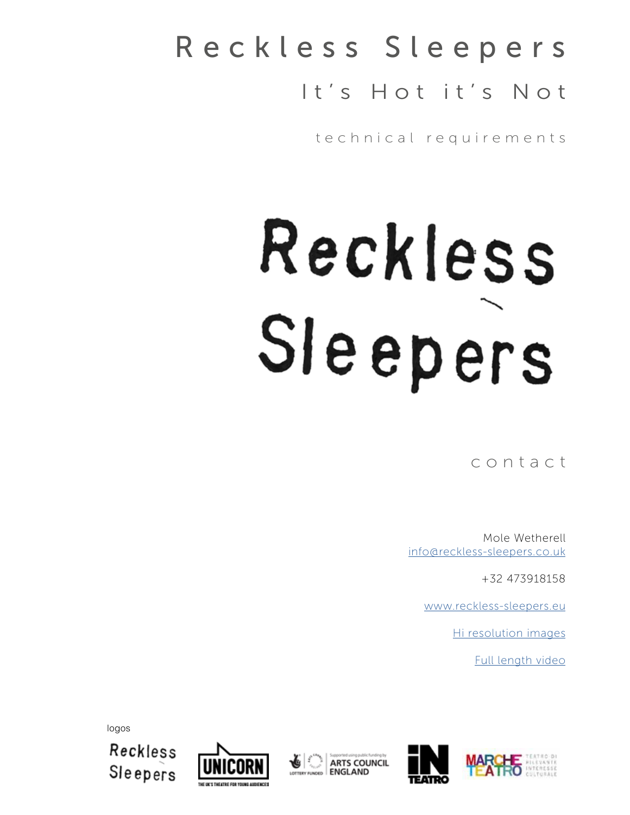## Reckless Sleepers It's Hot it's Not

technical requirements

# Reckless Sleepers

contact

Mole Wetherell [info@reckless-sleepers.co.uk](mailto:info%40reckless-sleepers.co.uk?subject=)

+32 473918158

[www.reckless-sleepers.eu](http://reckless-sleepers.eu)

[Hi resolution images](https://www.flickr.com/photos/reckless-sleepers/albums/72157691442073453)

[Full length video](https://vimeo.com/347333295/e8016d09a8)



**ARTS COUNCIL** 

**ENGLAND** 



logos

Reckless Sleepers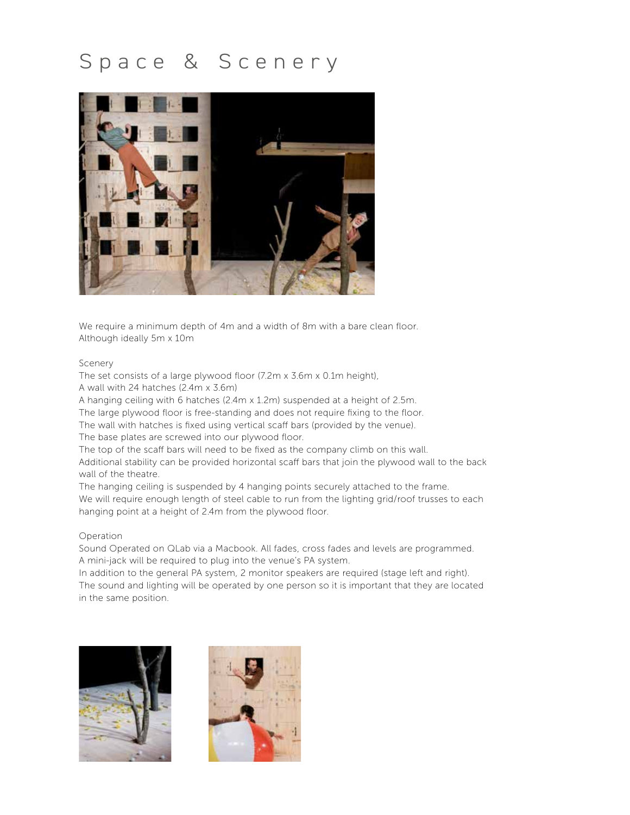## Space & Scenery



We require a minimum depth of 4m and a width of 8m with a bare clean floor. Although ideally 5m x 10m

#### Scenery

The set consists of a large plywood floor (7.2m x 3.6m x 0.1m height),

A wall with 24 hatches (2.4m x 3.6m)

A hanging ceiling with 6 hatches (2.4m x 1.2m) suspended at a height of 2.5m.

The large plywood floor is free-standing and does not require fixing to the floor.

The wall with hatches is fixed using vertical scaff bars (provided by the venue).

The base plates are screwed into our plywood floor.

The top of the scaff bars will need to be fixed as the company climb on this wall.

Additional stability can be provided horizontal scaff bars that join the plywood wall to the back wall of the theatre.

The hanging ceiling is suspended by 4 hanging points securely attached to the frame. We will require enough length of steel cable to run from the lighting grid/roof trusses to each hanging point at a height of 2.4m from the plywood floor.

#### Operation

Sound Operated on QLab via a Macbook. All fades, cross fades and levels are programmed. A mini-jack will be required to plug into the venue's PA system.

In addition to the general PA system, 2 monitor speakers are required (stage left and right). The sound and lighting will be operated by one person so it is important that they are located in the same position.



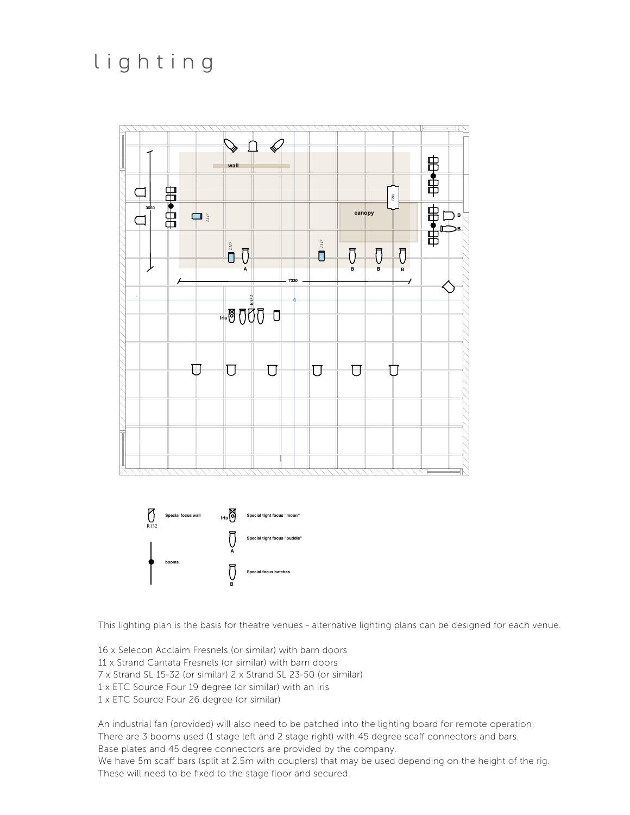### lighting



This lighting plan is the basis for theatre venues - alternative lighting plans can be designed for each venue.

16 x Selecon Acclaim Fresnels (or similar) with barn doors 11 x Strand Cantata Fresnels (or similar) with barn doors 7 x Strand SL 15-32 (or similar) 2 x Strand SL 23-50 (or similar) 1 x ETC Source Four 19 degree (or similar) with an Iris 1 x ETC Source Four 26 degree (or similar)

An industrial fan (provided) will also need to be patched into the lighting board for remote operation. There are 3 booms used (1 stage left and 2 stage right) with 45 degree scaff connectors and bars. Base plates and 45 degree connectors are provided by the company. We have 5m scaff bars (split at 2.5m with couplers) that may be used depending on the height of the rig. These will need to be fixed to the stage floor and secured.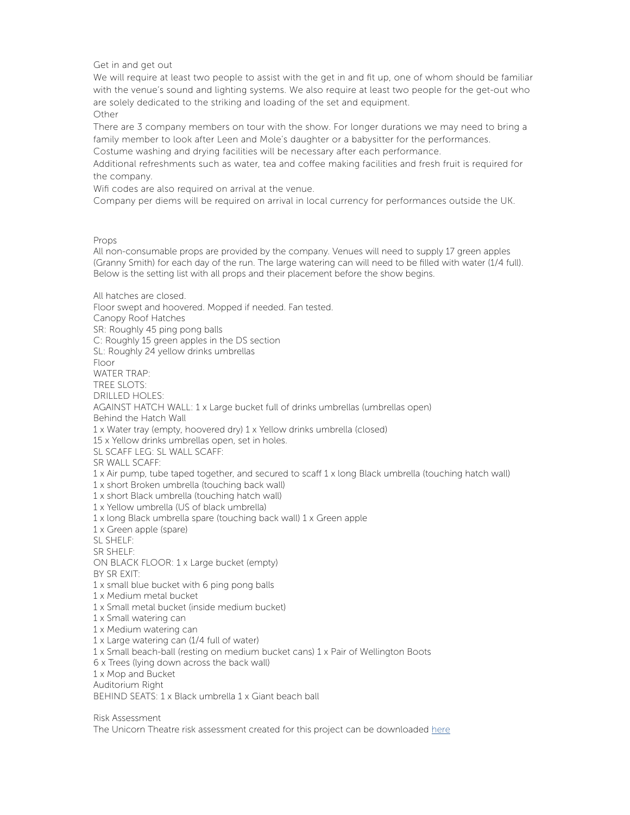Get in and get out

We will require at least two people to assist with the get in and fit up, one of whom should be familiar with the venue's sound and lighting systems. We also require at least two people for the get-out who are solely dedicated to the striking and loading of the set and equipment.

Other

There are 3 company members on tour with the show. For longer durations we may need to bring a family member to look after Leen and Mole's daughter or a babysitter for the performances.

Costume washing and drying facilities will be necessary after each performance.

Additional refreshments such as water, tea and coffee making facilities and fresh fruit is required for the company.

Wifi codes are also required on arrival at the venue.

Company per diems will be required on arrival in local currency for performances outside the UK.

Props

All non-consumable props are provided by the company. Venues will need to supply 17 green apples (Granny Smith) for each day of the run. The large watering can will need to be filled with water (1/4 full). Below is the setting list with all props and their placement before the show begins.

All hatches are closed. Floor swept and hoovered. Mopped if needed. Fan tested. Canopy Roof Hatches SR: Roughly 45 ping pong balls C: Roughly 15 green apples in the DS section SL: Roughly 24 yellow drinks umbrellas Floor WATER TRAP: TREE SLOTS: DRILLED HOLES: AGAINST HATCH WALL: 1 x Large bucket full of drinks umbrellas (umbrellas open) Behind the Hatch Wall 1 x Water tray (empty, hoovered dry) 1 x Yellow drinks umbrella (closed) 15 x Yellow drinks umbrellas open, set in holes. SL SCAFF LEG: SL WALL SCAFF: SR WALL SCAFF: 1 x Air pump, tube taped together, and secured to scaff 1 x long Black umbrella (touching hatch wall) 1 x short Broken umbrella (touching back wall) 1 x short Black umbrella (touching hatch wall) 1 x Yellow umbrella (US of black umbrella) 1 x long Black umbrella spare (touching back wall) 1 x Green apple 1 x Green apple (spare) SL SHELF: SR SHELF: ON BLACK FLOOR: 1 x Large bucket (empty) BY SR EXIT: 1 x small blue bucket with 6 ping pong balls 1 x Medium metal bucket 1 x Small metal bucket (inside medium bucket) 1 x Small watering can 1 x Medium watering can 1 x Large watering can (1/4 full of water) 1 x Small beach-ball (resting on medium bucket cans) 1 x Pair of Wellington Boots 6 x Trees (lying down across the back wall) 1 x Mop and Bucket Auditorium Right BEHIND SEATS: 1 x Black umbrella 1 x Giant beach ball

Risk Assessment The Unicorn Theatre risk assessment created for this project can be downloaded [here](https://85ef5496-e9ce-412d-a9ea-ae439594662b.filesusr.com/ugd/ffe471_7febf929aa5a4f6fbf76d4d8b3f522b1.pdf)